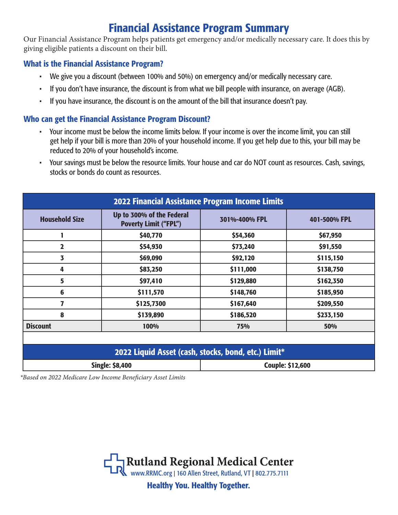# Financial Assistance Program Summary

Our Financial Assistance Program helps patients get emergency and/or medically necessary care. It does this by giving eligible patients a discount on their bill.

## What is the Financial Assistance Program?

- We give you a discount (between 100% and 50%) on emergency and/or medically necessary care.
- If you don't have insurance, the discount is from what we bill people with insurance, on average (AGB).
- If you have insurance, the discount is on the amount of the bill that insurance doesn't pay.

## Who can get the Financial Assistance Program Discount?

- Your income must be below the income limits below. If your income is over the income limit, you can still get help if your bill is more than 20% of your household income. If you get help due to this, your bill may be reduced to 20% of your household's income.
- Your savings must be below the resource limits. Your house and car do NOT count as resources. Cash, savings, stocks or bonds do count as resources.

| <b>2022 Financial Assistance Program Income Limits</b> |                                                           |                         |              |
|--------------------------------------------------------|-----------------------------------------------------------|-------------------------|--------------|
| <b>Household Size</b>                                  | Up to 300% of the Federal<br><b>Poverty Limit ("FPL")</b> | 301%-400% FPL           | 401-500% FPL |
|                                                        | \$40,770                                                  | \$54,360                | \$67,950     |
| $\overline{\mathbf{2}}$                                | \$54,930                                                  | \$73,240                | \$91,550     |
| 3                                                      | \$69,090                                                  | \$92,120                | \$115,150    |
| 4                                                      | \$83,250                                                  | \$111,000               | \$138,750    |
| 5                                                      | \$97,410                                                  | \$129,880               | \$162,350    |
| 6                                                      | \$111,570                                                 | \$148,760               | \$185,950    |
| 7                                                      | \$125,7300                                                | \$167,640               | \$209,550    |
| 8                                                      | \$139,890                                                 | \$186,520               | \$233,150    |
| <b>Discount</b>                                        | 100%                                                      | 75%                     | 50%          |
|                                                        |                                                           |                         |              |
| 2022 Liquid Asset (cash, stocks, bond, etc.) Limit*    |                                                           |                         |              |
| <b>Single: \$8,400</b>                                 |                                                           | <b>Couple: \$12,600</b> |              |

*\*Based on 2022 Medicare Low Income Beneficiary Asset Limits*